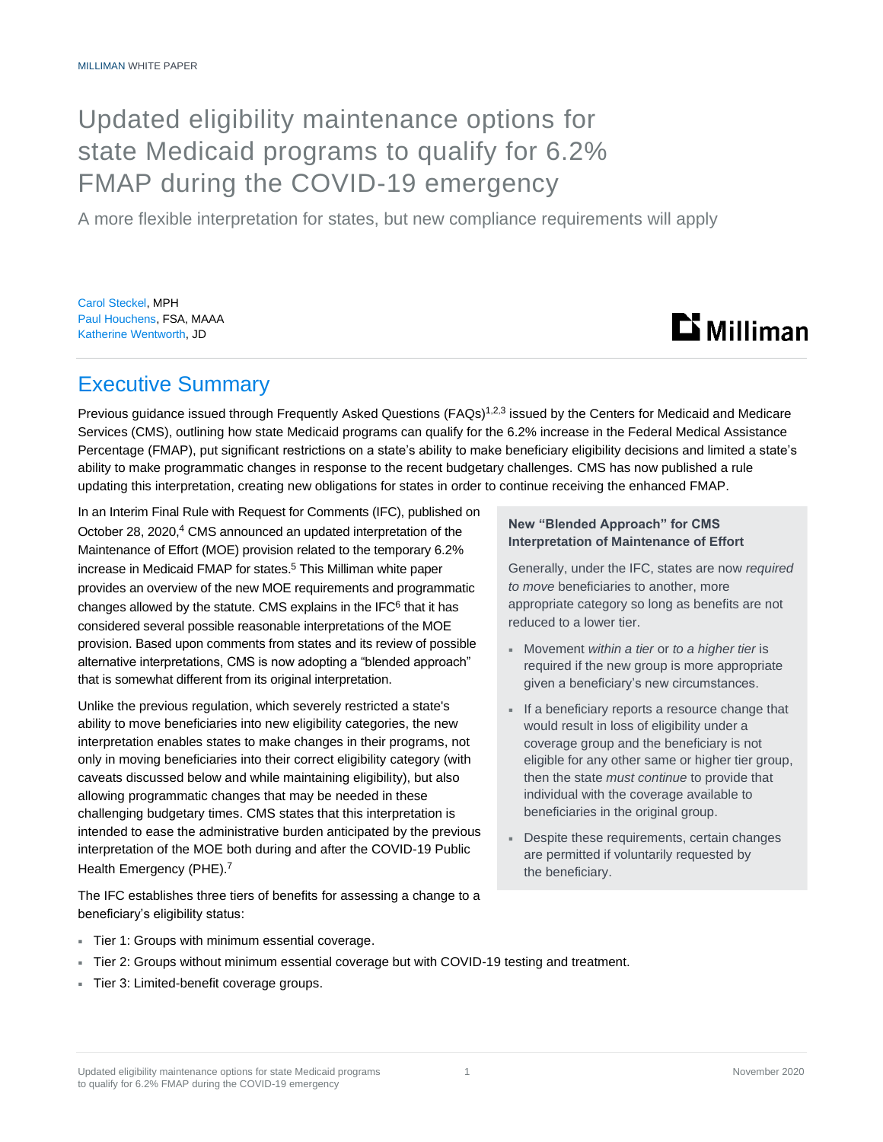# Updated eligibility maintenance options for state Medicaid programs to qualify for 6.2% FMAP during the COVID-19 emergency

A more flexible interpretation for states, but new compliance requirements will apply

Carol Steckel, MPH Paul Houchens, FSA, MAAA Katherine Wentworth, JD



# Executive Summary

Previous guidance issued through Frequently Asked Questions (FAQs)<sup>1,2,3</sup> issued by the Centers for Medicaid and Medicare Services (CMS), outlining how state Medicaid programs can qualify for the 6.2% increase in the Federal Medical Assistance Percentage (FMAP), put significant restrictions on a state's ability to make beneficiary eligibility decisions and limited a state's ability to make programmatic changes in response to the recent budgetary challenges. CMS has now published a rule updating this interpretation, creating new obligations for states in order to continue receiving the enhanced FMAP.

In an Interim Final Rule with Request for Comments (IFC), published on October 28, 2020,<sup>4</sup> CMS announced an updated interpretation of the Maintenance of Effort (MOE) provision related to the temporary 6.2% increase in Medicaid FMAP for states. <sup>5</sup> This Milliman white paper provides an overview of the new MOE requirements and programmatic changes allowed by the statute. CMS explains in the IFC $<sup>6</sup>$  that it has</sup> considered several possible reasonable interpretations of the MOE provision. Based upon comments from states and its review of possible alternative interpretations, CMS is now adopting a "blended approach" that is somewhat different from its original interpretation.

Unlike the previous regulation, which severely restricted a state's ability to move beneficiaries into new eligibility categories, the new interpretation enables states to make changes in their programs, not only in moving beneficiaries into their correct eligibility category (with caveats discussed below and while maintaining eligibility), but also allowing programmatic changes that may be needed in these challenging budgetary times. CMS states that this interpretation is intended to ease the administrative burden anticipated by the previous interpretation of the MOE both during and after the COVID-19 Public Health Emergency (PHE).<sup>7</sup>

The IFC establishes three tiers of benefits for assessing a change to a beneficiary's eligibility status:

### **New "Blended Approach" for CMS Interpretation of Maintenance of Effort**

Generally, under the IFC, states are now *required to move* beneficiaries to another, more appropriate category so long as benefits are not reduced to a lower tier.

- Movement *within a tier* or *to a higher tier* is required if the new group is more appropriate given a beneficiary's new circumstances.
- If a beneficiary reports a resource change that would result in loss of eligibility under a coverage group and the beneficiary is not eligible for any other same or higher tier group, then the state *must continue* to provide that individual with the coverage available to beneficiaries in the original group.
- Despite these requirements, certain changes are permitted if voluntarily requested by the beneficiary.

- Tier 1: Groups with minimum essential coverage.
- Tier 2: Groups without minimum essential coverage but with COVID-19 testing and treatment.
- Tier 3: Limited-benefit coverage groups.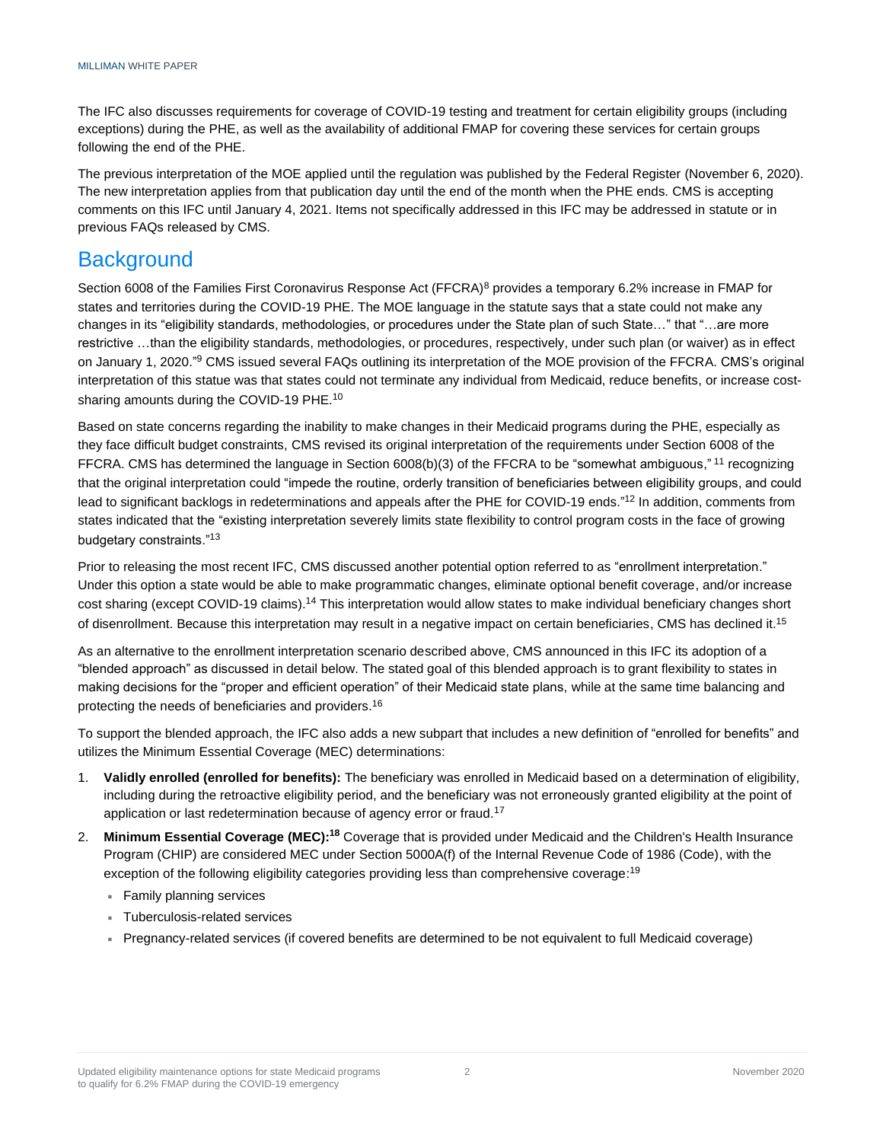The IFC also discusses requirements for coverage of COVID-19 testing and treatment for certain eligibility groups (including exceptions) during the PHE, as well as the availability of additional FMAP for covering these services for certain groups following the end of the PHE.

The previous interpretation of the MOE applied until the regulation was published by the Federal Register (November 6, 2020). The new interpretation applies from that publication day until the end of the month when the PHE ends. CMS is accepting comments on this IFC until January 4, 2021. Items not specifically addressed in this IFC may be addressed in statute or in previous FAQs released by CMS.

# **Background**

Section 6008 of the Families First Coronavirus Response Act (FFCRA)<sup>8</sup> provides a temporary 6.2% increase in FMAP for states and territories during the COVID-19 PHE. The MOE language in the statute says that a state could not make any changes in its "eligibility standards, methodologies, or procedures under the State plan of such State…" that "…are more restrictive …than the eligibility standards, methodologies, or procedures, respectively, under such plan (or waiver) as in effect on January 1, 2020."<sup>9</sup> CMS issued several FAQs outlining its interpretation of the MOE provision of the FFCRA. CMS's original interpretation of this statue was that states could not terminate any individual from Medicaid, reduce benefits, or increase costsharing amounts during the COVID-19 PHE.<sup>10</sup>

Based on state concerns regarding the inability to make changes in their Medicaid programs during the PHE, especially as they face difficult budget constraints, CMS revised its original interpretation of the requirements under Section 6008 of the FFCRA. CMS has determined the language in Section 6008(b)(3) of the FFCRA to be "somewhat ambiguous,"<sup>11</sup> recognizing that the original interpretation could "impede the routine, orderly transition of beneficiaries between eligibility groups, and could lead to significant backlogs in redeterminations and appeals after the PHE for COVID-19 ends."<sup>12</sup> In addition, comments from states indicated that the "existing interpretation severely limits state flexibility to control program costs in the face of growing budgetary constraints."<sup>13</sup>

Prior to releasing the most recent IFC, CMS discussed another potential option referred to as "enrollment interpretation." Under this option a state would be able to make programmatic changes, eliminate optional benefit coverage, and/or increase cost sharing (except COVID-19 claims).<sup>14</sup> This interpretation would allow states to make individual beneficiary changes short of disenrollment. Because this interpretation may result in a negative impact on certain beneficiaries, CMS has declined it.<sup>15</sup>

As an alternative to the enrollment interpretation scenario described above, CMS announced in this IFC its adoption of a "blended approach" as discussed in detail below. The stated goal of this blended approach is to grant flexibility to states in making decisions for the "proper and efficient operation" of their Medicaid state plans, while at the same time balancing and protecting the needs of beneficiaries and providers.<sup>16</sup>

To support the blended approach, the IFC also adds a new subpart that includes a new definition of "enrolled for benefits" and utilizes the Minimum Essential Coverage (MEC) determinations:

- 1. **Validly enrolled (enrolled for benefits):** The beneficiary was enrolled in Medicaid based on a determination of eligibility, including during the retroactive eligibility period, and the beneficiary was not erroneously granted eligibility at the point of application or last redetermination because of agency error or fraud.<sup>17</sup>
- 2. **Minimum Essential Coverage (MEC):<sup>18</sup>** Coverage that is provided under Medicaid and the Children's Health Insurance Program (CHIP) are considered MEC under Section 5000A(f) of the Internal Revenue Code of 1986 (Code), with the exception of the following eligibility categories providing less than comprehensive coverage:<sup>19</sup>
	- **Family planning services**
	- Tuberculosis-related services
	- Pregnancy-related services (if covered benefits are determined to be not equivalent to full Medicaid coverage)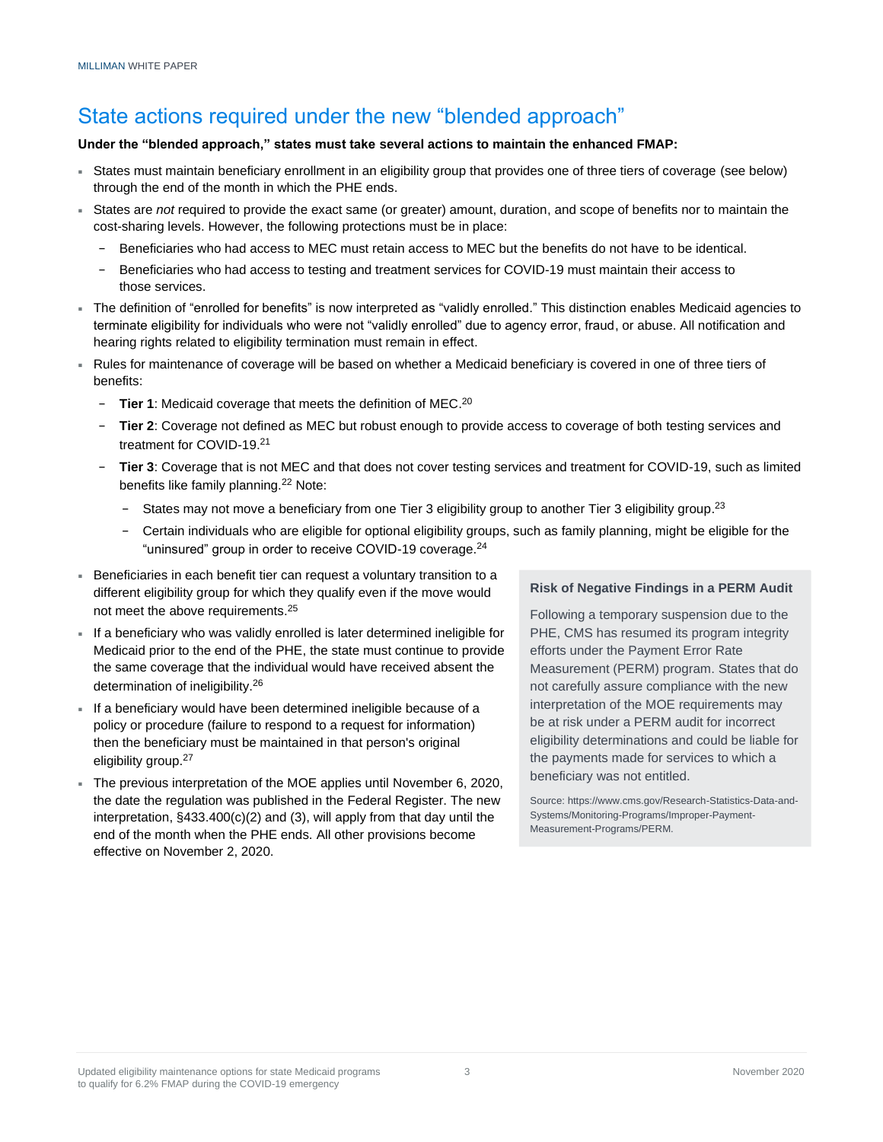# State actions required under the new "blended approach"

### **Under the "blended approach," states must take several actions to maintain the enhanced FMAP:**

- States must maintain beneficiary enrollment in an eligibility group that provides one of three tiers of coverage (see below) through the end of the month in which the PHE ends.
- States are *not* required to provide the exact same (or greater) amount, duration, and scope of benefits nor to maintain the cost-sharing levels. However, the following protections must be in place:
	- − Beneficiaries who had access to MEC must retain access to MEC but the benefits do not have to be identical.
	- − Beneficiaries who had access to testing and treatment services for COVID-19 must maintain their access to those services.
- The definition of "enrolled for benefits" is now interpreted as "validly enrolled." This distinction enables Medicaid agencies to terminate eligibility for individuals who were not "validly enrolled" due to agency error, fraud, or abuse. All notification and hearing rights related to eligibility termination must remain in effect.
- Rules for maintenance of coverage will be based on whether a Medicaid beneficiary is covered in one of three tiers of benefits:
	- − **Tier 1**: Medicaid coverage that meets the definition of MEC. 20
	- − **Tier 2**: Coverage not defined as MEC but robust enough to provide access to coverage of both testing services and treatment for COVID-19.<sup>21</sup>
	- − **Tier 3**: Coverage that is not MEC and that does not cover testing services and treatment for COVID-19, such as limited benefits like family planning.<sup>22</sup> Note:
		- − States may not move a beneficiary from one Tier 3 eligibility group to another Tier 3 eligibility group. 23
		- − Certain individuals who are eligible for optional eligibility groups, such as family planning, might be eligible for the "uninsured" group in order to receive COVID-19 coverage.<sup>24</sup>
- Beneficiaries in each benefit tier can request a voluntary transition to a different eligibility group for which they qualify even if the move would not meet the above requirements.<sup>25</sup>
- If a beneficiary who was validly enrolled is later determined ineligible for Medicaid prior to the end of the PHE, the state must continue to provide the same coverage that the individual would have received absent the determination of ineligibility.<sup>26</sup>
- If a beneficiary would have been determined ineligible because of a policy or procedure (failure to respond to a request for information) then the beneficiary must be maintained in that person's original eligibility group.<sup>27</sup>
- The previous interpretation of the MOE applies until November 6, 2020, the date the regulation was published in the Federal Register. The new interpretation, §433.400(c)(2) and (3), will apply from that day until the end of the month when the PHE ends. All other provisions become effective on November 2, 2020.

### **Risk of Negative Findings in a PERM Audit**

Following a temporary suspension due to the PHE, CMS has resumed its program integrity efforts under the Payment Error Rate Measurement (PERM) program. States that do not carefully assure compliance with the new interpretation of the MOE requirements may be at risk under a PERM audit for incorrect eligibility determinations and could be liable for the payments made for services to which a beneficiary was not entitled.

Source: https://www.cms.gov/Research-Statistics-Data-and-Systems/Monitoring-Programs/Improper-Payment-Measurement-Programs/PERM.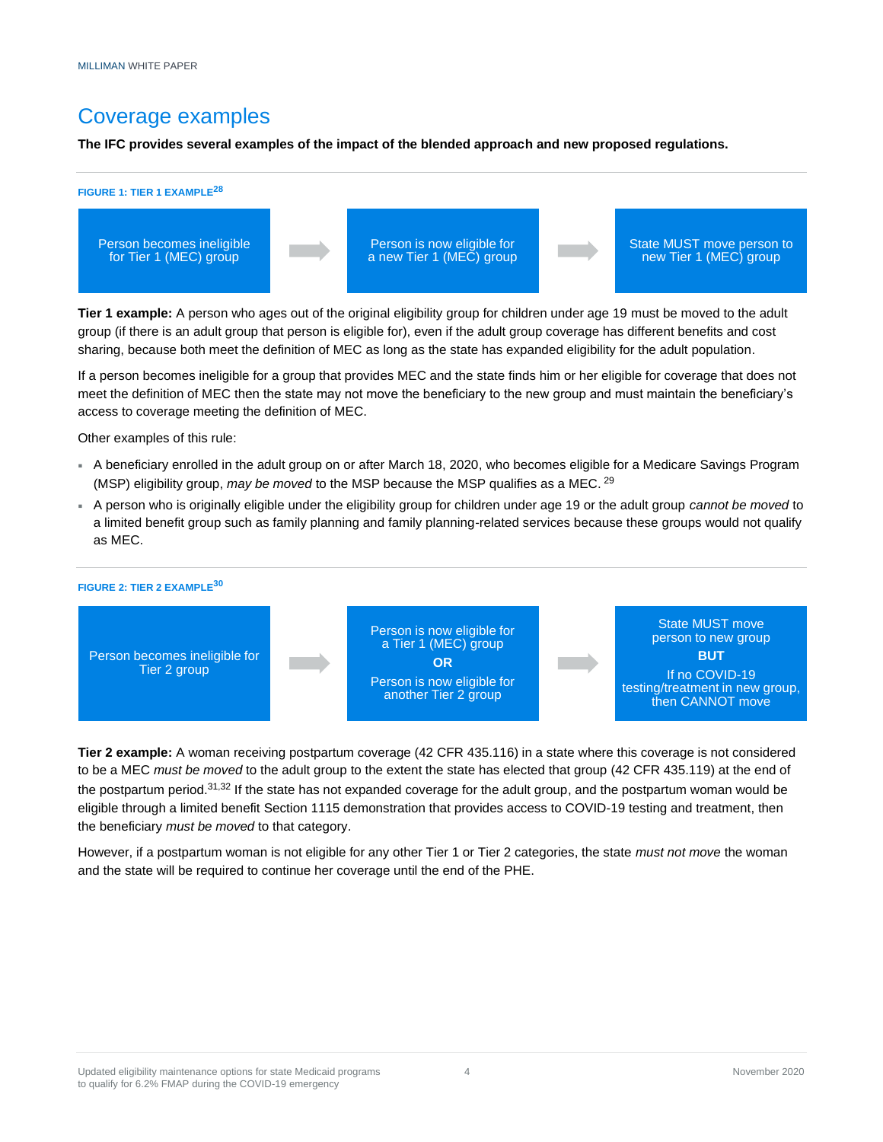# Coverage examples

**The IFC provides several examples of the impact of the blended approach and new proposed regulations.** 



**Tier 1 example:** A person who ages out of the original eligibility group for children under age 19 must be moved to the adult group (if there is an adult group that person is eligible for), even if the adult group coverage has different benefits and cost sharing, because both meet the definition of MEC as long as the state has expanded eligibility for the adult population.

If a person becomes ineligible for a group that provides MEC and the state finds him or her eligible for coverage that does not meet the definition of MEC then the state may not move the beneficiary to the new group and must maintain the beneficiary's access to coverage meeting the definition of MEC.

Other examples of this rule:

- A beneficiary enrolled in the adult group on or after March 18, 2020, who becomes eligible for a Medicare Savings Program (MSP) eligibility group, *may be moved* to the MSP because the MSP qualifies as a MEC. <sup>29</sup>
- A person who is originally eligible under the eligibility group for children under age 19 or the adult group *cannot be moved* to a limited benefit group such as family planning and family planning-related services because these groups would not qualify as MEC.



**Tier 2 example:** A woman receiving postpartum coverage (42 CFR 435.116) in a state where this coverage is not considered to be a MEC *must be moved* to the adult group to the extent the state has elected that group (42 CFR 435.119) at the end of the postpartum period.31,<sup>32</sup> If the state has not expanded coverage for the adult group, and the postpartum woman would be eligible through a limited benefit Section 1115 demonstration that provides access to COVID-19 testing and treatment, then the beneficiary *must be moved* to that category.

However, if a postpartum woman is not eligible for any other Tier 1 or Tier 2 categories, the state *must not move* the woman and the state will be required to continue her coverage until the end of the PHE.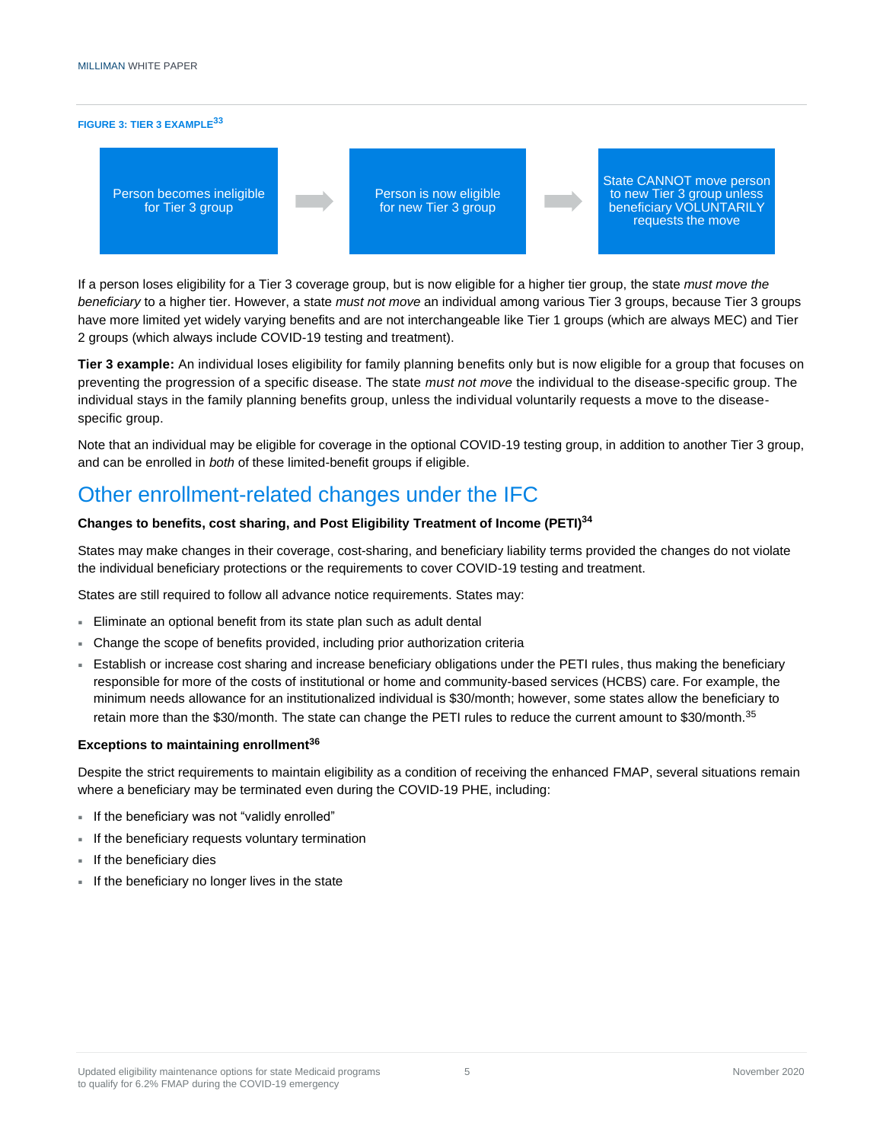#### **FIGURE 3: TIER 3 EXAMPLE<sup>33</sup>**



If a person loses eligibility for a Tier 3 coverage group, but is now eligible for a higher tier group, the state *must move the beneficiary* to a higher tier. However, a state *must not move* an individual among various Tier 3 groups, because Tier 3 groups have more limited yet widely varying benefits and are not interchangeable like Tier 1 groups (which are always MEC) and Tier 2 groups (which always include COVID-19 testing and treatment).

**Tier 3 example:** An individual loses eligibility for family planning benefits only but is now eligible for a group that focuses on preventing the progression of a specific disease. The state *must not move* the individual to the disease-specific group. The individual stays in the family planning benefits group, unless the individual voluntarily requests a move to the diseasespecific group.

Note that an individual may be eligible for coverage in the optional COVID-19 testing group, in addition to another Tier 3 group, and can be enrolled in *both* of these limited-benefit groups if eligible.

## Other enrollment-related changes under the IFC

### **Changes to benefits, cost sharing, and Post Eligibility Treatment of Income (PETI)<sup>34</sup>**

States may make changes in their coverage, cost-sharing, and beneficiary liability terms provided the changes do not violate the individual beneficiary protections or the requirements to cover COVID-19 testing and treatment.

States are still required to follow all advance notice requirements. States may:

- Eliminate an optional benefit from its state plan such as adult dental
- Change the scope of benefits provided, including prior authorization criteria
- Establish or increase cost sharing and increase beneficiary obligations under the PETI rules, thus making the beneficiary responsible for more of the costs of institutional or home and community-based services (HCBS) care. For example, the minimum needs allowance for an institutionalized individual is \$30/month; however, some states allow the beneficiary to retain more than the \$30/month. The state can change the PETI rules to reduce the current amount to \$30/month.<sup>35</sup>

### **Exceptions to maintaining enrollment<sup>36</sup>**

Despite the strict requirements to maintain eligibility as a condition of receiving the enhanced FMAP, several situations remain where a beneficiary may be terminated even during the COVID-19 PHE, including:

- If the beneficiary was not "validly enrolled"
- If the beneficiary requests voluntary termination
- **If the beneficiary dies**
- If the beneficiary no longer lives in the state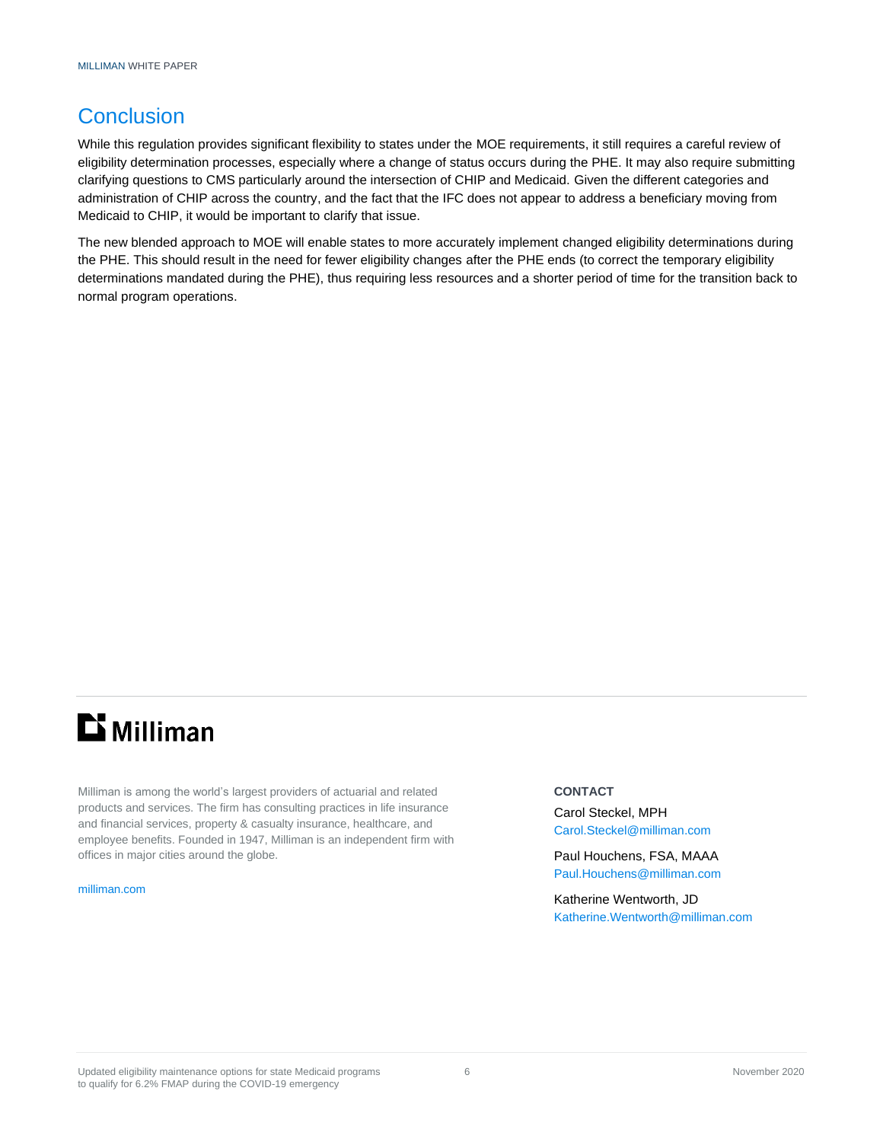# **Conclusion**

While this regulation provides significant flexibility to states under the MOE requirements, it still requires a careful review of eligibility determination processes, especially where a change of status occurs during the PHE. It may also require submitting clarifying questions to CMS particularly around the intersection of CHIP and Medicaid. Given the different categories and administration of CHIP across the country, and the fact that the IFC does not appear to address a beneficiary moving from Medicaid to CHIP, it would be important to clarify that issue.

The new blended approach to MOE will enable states to more accurately implement changed eligibility determinations during the PHE. This should result in the need for fewer eligibility changes after the PHE ends (to correct the temporary eligibility determinations mandated during the PHE), thus requiring less resources and a shorter period of time for the transition back to normal program operations.

# **Li** Milliman

Milliman is among the world's largest providers of actuarial and related products and services. The firm has consulting practices in life insurance and financial services, property & casualty insurance, healthcare, and employee benefits. Founded in 1947, Milliman is an independent firm with offices in major cities around the globe.

[milliman.com](http://www.milliman.com/)

### **CONTACT**

Carol Steckel, MPH [Carol.Steckel@milliman.com](mailto:Carol.Steckel@milliman.com)

Paul Houchens, FSA, MAAA [Paul.Houchens@milliman.com](mailto:Paul.Houchens@milliman.com)

Katherine Wentworth, JD [Katherine.Wentworth@milliman.com](mailto:Katherine.Wentworth@milliman.com)